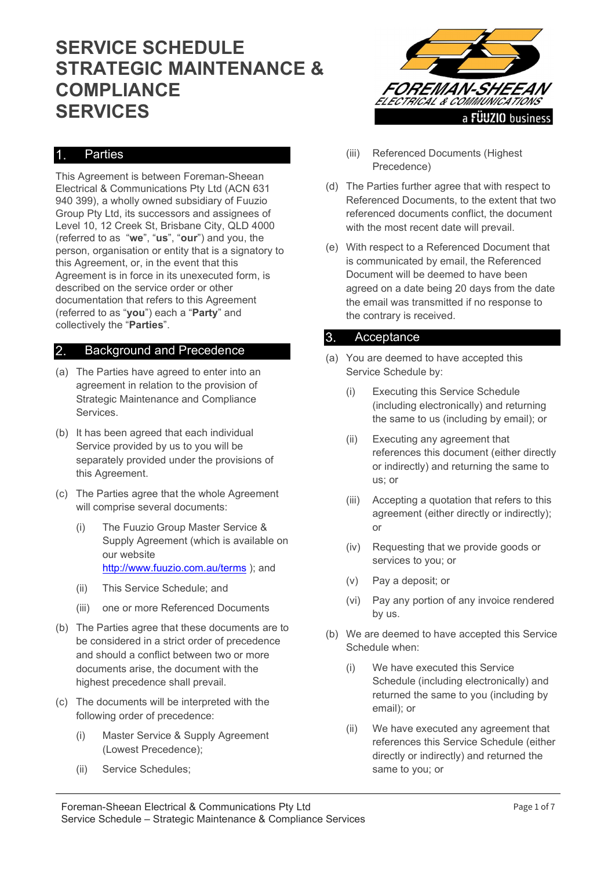# SERVICE SCHEDULE STRATEGIC MAINTENANCE & COMPLIANCE SERVICES

## Parties

This Agreement is between Foreman-Sheean Electrical & Communications Pty Ltd (ACN 631 940 399), a wholly owned subsidiary of Fuuzio Group Pty Ltd, its successors and assignees of Level 10, 12 Creek St, Brisbane City, QLD 4000 (referred to as "we", "us", "our") and you, the person, organisation or entity that is a signatory to this Agreement, or, in the event that this Agreement is in force in its unexecuted form, is described on the service order or other documentation that refers to this Agreement (referred to as "you") each a "Party" and collectively the "Parties".

## 2. Background and Precedence

- (a) The Parties have agreed to enter into an agreement in relation to the provision of Strategic Maintenance and Compliance Services.
- (b) It has been agreed that each individual Service provided by us to you will be separately provided under the provisions of this Agreement.
- (c) The Parties agree that the whole Agreement will comprise several documents:
	- (i) The Fuuzio Group Master Service & Supply Agreement (which is available on our website http://www.fuuzio.com.au/terms ); and
	- (ii) This Service Schedule; and
	- (iii) one or more Referenced Documents
- (b) The Parties agree that these documents are to be considered in a strict order of precedence and should a conflict between two or more documents arise, the document with the highest precedence shall prevail.
- (c) The documents will be interpreted with the following order of precedence:
	- (i) Master Service & Supply Agreement (Lowest Precedence);
	- (ii) Service Schedules;



- (iii) Referenced Documents (Highest Precedence)
- (d) The Parties further agree that with respect to Referenced Documents, to the extent that two referenced documents conflict, the document with the most recent date will prevail.
- (e) With respect to a Referenced Document that is communicated by email, the Referenced Document will be deemed to have been agreed on a date being 20 days from the date the email was transmitted if no response to the contrary is received.

## 3. Acceptance

- (a) You are deemed to have accepted this Service Schedule by:
	- (i) Executing this Service Schedule (including electronically) and returning the same to us (including by email); or
	- (ii) Executing any agreement that references this document (either directly or indirectly) and returning the same to us; or
	- (iii) Accepting a quotation that refers to this agreement (either directly or indirectly); or
	- (iv) Requesting that we provide goods or services to you; or
	- (v) Pay a deposit; or
	- (vi) Pay any portion of any invoice rendered by us.
- (b) We are deemed to have accepted this Service Schedule when:
	- (i) We have executed this Service Schedule (including electronically) and returned the same to you (including by email); or
	- (ii) We have executed any agreement that references this Service Schedule (either directly or indirectly) and returned the same to you; or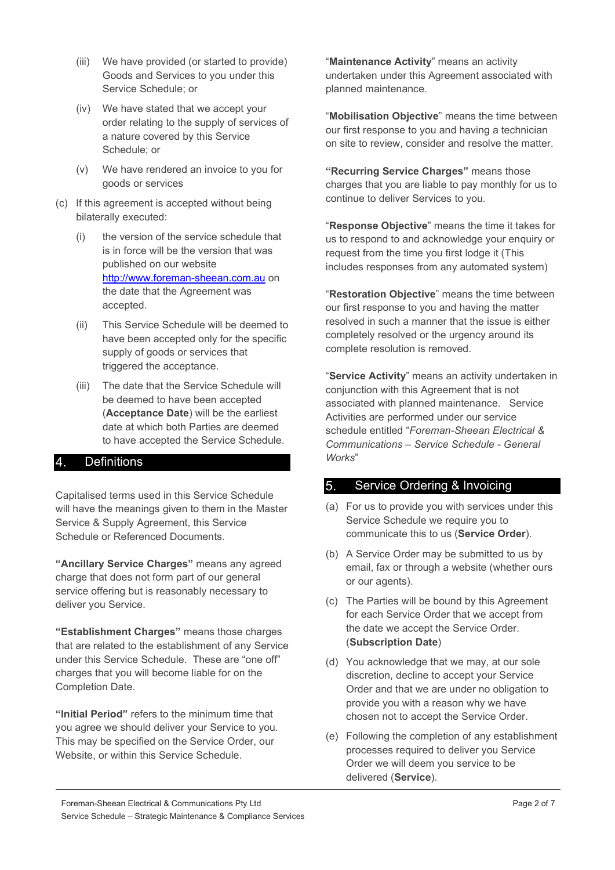- (iii) We have provided (or started to provide) Goods and Services to you under this Service Schedule; or
- (iv) We have stated that we accept your order relating to the supply of services of a nature covered by this Service Schedule; or
- (v) We have rendered an invoice to you for goods or services
- (c) If this agreement is accepted without being bilaterally executed:
	- (i) the version of the service schedule that is in force will be the version that was published on our website http://www.foreman-sheean.com.au on the date that the Agreement was accepted.
	- (ii) This Service Schedule will be deemed to have been accepted only for the specific supply of goods or services that triggered the acceptance.
	- (iii) The date that the Service Schedule will be deemed to have been accepted (Acceptance Date) will be the earliest date at which both Parties are deemed to have accepted the Service Schedule.

#### **Definitions**

Capitalised terms used in this Service Schedule will have the meanings given to them in the Master Service & Supply Agreement, this Service Schedule or Referenced Documents.

"Ancillary Service Charges" means any agreed charge that does not form part of our general service offering but is reasonably necessary to deliver you Service.

"Establishment Charges" means those charges that are related to the establishment of any Service under this Service Schedule. These are "one off" charges that you will become liable for on the Completion Date.

"Initial Period" refers to the minimum time that you agree we should deliver your Service to you. This may be specified on the Service Order, our Website, or within this Service Schedule.

"Maintenance Activity" means an activity undertaken under this Agreement associated with planned maintenance.

"Mobilisation Objective" means the time between our first response to you and having a technician on site to review, consider and resolve the matter.

"Recurring Service Charges" means those charges that you are liable to pay monthly for us to continue to deliver Services to you.

"Response Objective" means the time it takes for us to respond to and acknowledge your enquiry or request from the time you first lodge it (This includes responses from any automated system)

"Restoration Objective" means the time between our first response to you and having the matter resolved in such a manner that the issue is either completely resolved or the urgency around its complete resolution is removed.

"Service Activity" means an activity undertaken in conjunction with this Agreement that is not associated with planned maintenance. Service Activities are performed under our service schedule entitled "Foreman-Sheean Electrical & Communications – Service Schedule - General Works"

# Service Ordering & Invoicing

- (a) For us to provide you with services under this Service Schedule we require you to communicate this to us (Service Order).
- (b) A Service Order may be submitted to us by email, fax or through a website (whether ours or our agents).
- (c) The Parties will be bound by this Agreement for each Service Order that we accept from the date we accept the Service Order. (Subscription Date)
- (d) You acknowledge that we may, at our sole discretion, decline to accept your Service Order and that we are under no obligation to provide you with a reason why we have chosen not to accept the Service Order.
- (e) Following the completion of any establishment processes required to deliver you Service Order we will deem you service to be delivered (Service).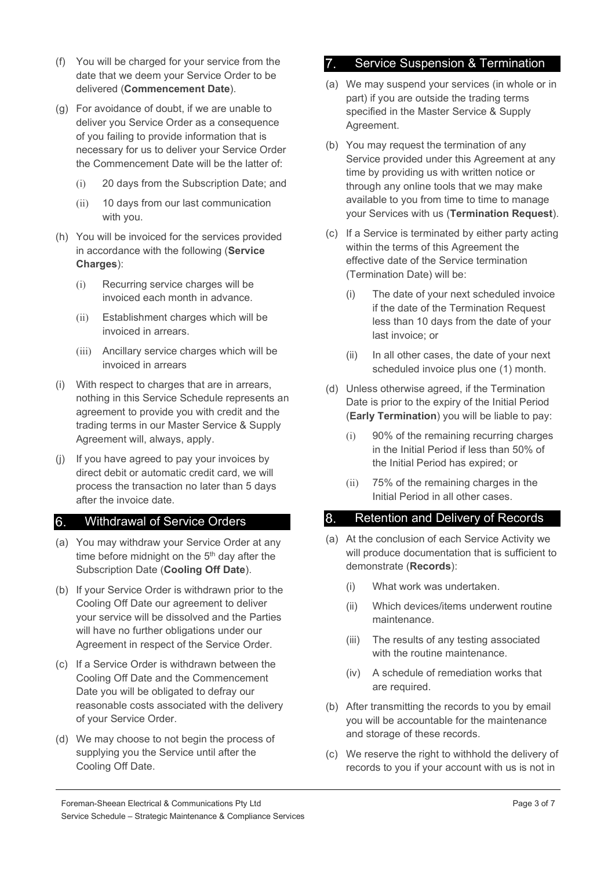- (f) You will be charged for your service from the date that we deem your Service Order to be delivered (Commencement Date).
- (g) For avoidance of doubt, if we are unable to deliver you Service Order as a consequence of you failing to provide information that is necessary for us to deliver your Service Order the Commencement Date will be the latter of:
	- (i) 20 days from the Subscription Date; and
	- (ii) 10 days from our last communication with you.
- (h) You will be invoiced for the services provided in accordance with the following (Service Charges):
	- (i) Recurring service charges will be invoiced each month in advance.
	- (ii) Establishment charges which will be invoiced in arrears.
	- (iii) Ancillary service charges which will be invoiced in arrears
- (i) With respect to charges that are in arrears, nothing in this Service Schedule represents an agreement to provide you with credit and the trading terms in our Master Service & Supply Agreement will, always, apply.
- (j) If you have agreed to pay your invoices by direct debit or automatic credit card, we will process the transaction no later than 5 days after the invoice date.

## Withdrawal of Service Orders

- (a) You may withdraw your Service Order at any time before midnight on the 5<sup>th</sup> day after the Subscription Date (Cooling Off Date).
- (b) If your Service Order is withdrawn prior to the Cooling Off Date our agreement to deliver your service will be dissolved and the Parties will have no further obligations under our Agreement in respect of the Service Order.
- (c) If a Service Order is withdrawn between the Cooling Off Date and the Commencement Date you will be obligated to defray our reasonable costs associated with the delivery of your Service Order.
- (d) We may choose to not begin the process of supplying you the Service until after the Cooling Off Date.

#### Service Suspension & Termination

- (a) We may suspend your services (in whole or in part) if you are outside the trading terms specified in the Master Service & Supply Agreement.
- (b) You may request the termination of any Service provided under this Agreement at any time by providing us with written notice or through any online tools that we may make available to you from time to time to manage your Services with us (Termination Request).
- (c) If a Service is terminated by either party acting within the terms of this Agreement the effective date of the Service termination (Termination Date) will be:
	- (i) The date of your next scheduled invoice if the date of the Termination Request less than 10 days from the date of your last invoice; or
	- (ii) In all other cases, the date of your next scheduled invoice plus one (1) month.
- (d) Unless otherwise agreed, if the Termination Date is prior to the expiry of the Initial Period (Early Termination) you will be liable to pay:
	- (i) 90% of the remaining recurring charges in the Initial Period if less than 50% of the Initial Period has expired; or
	- (ii) 75% of the remaining charges in the Initial Period in all other cases.

## 8. Retention and Delivery of Records

- (a) At the conclusion of each Service Activity we will produce documentation that is sufficient to demonstrate (Records):
	- (i) What work was undertaken.
	- (ii) Which devices/items underwent routine maintenance.
	- (iii) The results of any testing associated with the routine maintenance.
	- (iv) A schedule of remediation works that are required.
- (b) After transmitting the records to you by email you will be accountable for the maintenance and storage of these records.
- (c) We reserve the right to withhold the delivery of records to you if your account with us is not in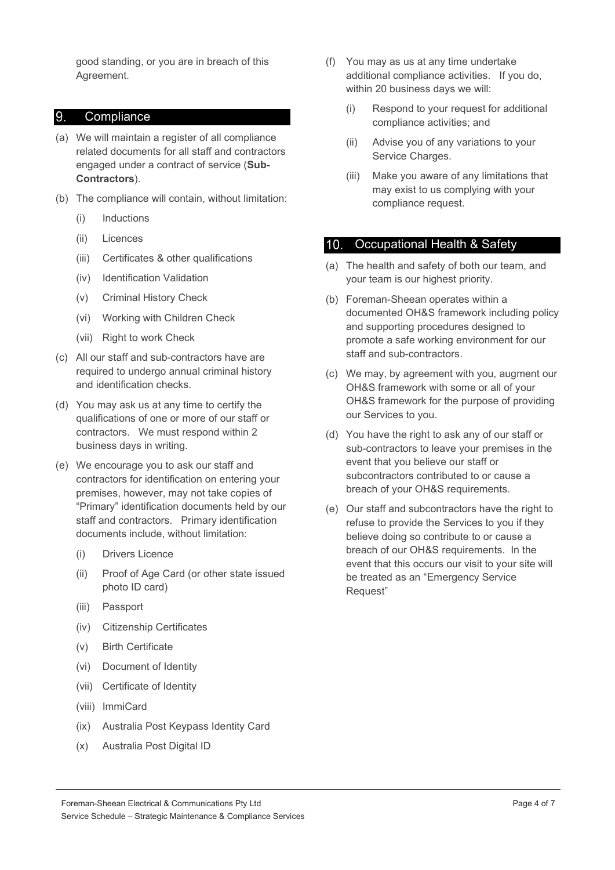good standing, or you are in breach of this Agreement.

#### 9. Compliance

- (a) We will maintain a register of all compliance related documents for all staff and contractors engaged under a contract of service (Sub-Contractors).
- (b) The compliance will contain, without limitation:
	- (i) Inductions
	- (ii) Licences
	- (iii) Certificates & other qualifications
	- (iv) Identification Validation
	- (v) Criminal History Check
	- (vi) Working with Children Check
	- (vii) Right to work Check
- (c) All our staff and sub-contractors have are required to undergo annual criminal history and identification checks.
- (d) You may ask us at any time to certify the qualifications of one or more of our staff or contractors. We must respond within 2 business days in writing.
- (e) We encourage you to ask our staff and contractors for identification on entering your premises, however, may not take copies of "Primary" identification documents held by our staff and contractors. Primary identification documents include, without limitation:
	- (i) Drivers Licence
	- (ii) Proof of Age Card (or other state issued photo ID card)
	- (iii) Passport
	- (iv) Citizenship Certificates
	- (v) Birth Certificate
	- (vi) Document of Identity
	- (vii) Certificate of Identity
	- (viii) ImmiCard
	- (ix) Australia Post Keypass Identity Card
	- (x) Australia Post Digital ID
- (f) You may as us at any time undertake additional compliance activities. If you do, within 20 business days we will:
	- (i) Respond to your request for additional compliance activities; and
	- (ii) Advise you of any variations to your Service Charges.
	- (iii) Make you aware of any limitations that may exist to us complying with your compliance request.

#### 10. Occupational Health & Safety

- (a) The health and safety of both our team, and your team is our highest priority.
- (b) Foreman-Sheean operates within a documented OH&S framework including policy and supporting procedures designed to promote a safe working environment for our staff and sub-contractors.
- (c) We may, by agreement with you, augment our OH&S framework with some or all of your OH&S framework for the purpose of providing our Services to you.
- (d) You have the right to ask any of our staff or sub-contractors to leave your premises in the event that you believe our staff or subcontractors contributed to or cause a breach of your OH&S requirements.
- (e) Our staff and subcontractors have the right to refuse to provide the Services to you if they believe doing so contribute to or cause a breach of our OH&S requirements. In the event that this occurs our visit to your site will be treated as an "Emergency Service Request"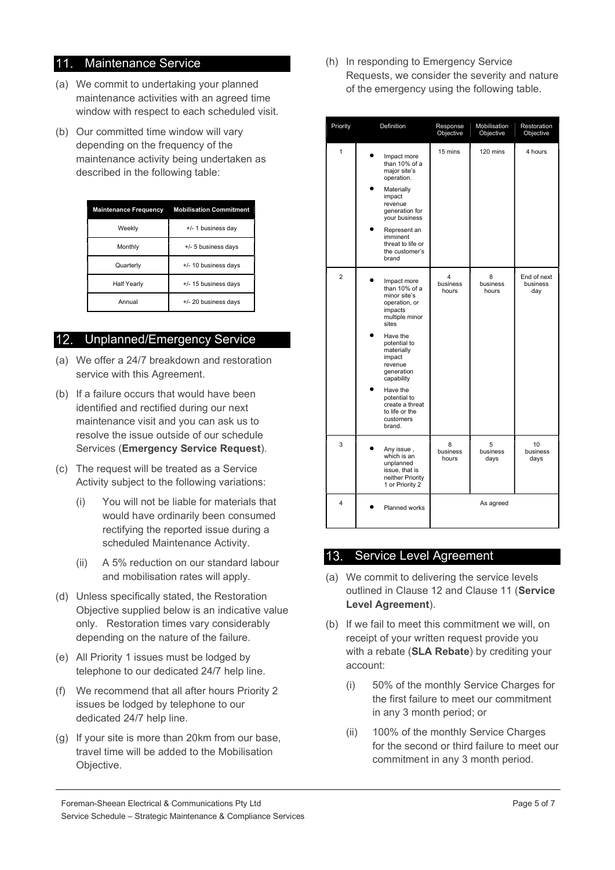## 11. Maintenance Service

- (a) We commit to undertaking your planned maintenance activities with an agreed time window with respect to each scheduled visit.
- (b) Our committed time window will vary depending on the frequency of the maintenance activity being undertaken as described in the following table:

| <b>Maintenance Frequency</b> | <b>Mobilisation Commitment</b> |  |
|------------------------------|--------------------------------|--|
| Weekly                       | +/- 1 business day             |  |
| Monthly                      | +/- 5 business days            |  |
| Quarterly                    | +/- 10 business days           |  |
| <b>Half Yearly</b>           | +/- 15 business davs           |  |
| Annual                       | +/- 20 business days           |  |

## 12. Unplanned/Emergency Service

- (a) We offer a 24/7 breakdown and restoration service with this Agreement.
- (b) If a failure occurs that would have been identified and rectified during our next maintenance visit and you can ask us to resolve the issue outside of our schedule Services (Emergency Service Request).
- (c) The request will be treated as a Service Activity subject to the following variations:
	- (i) You will not be liable for materials that would have ordinarily been consumed rectifying the reported issue during a scheduled Maintenance Activity.
	- (ii) A 5% reduction on our standard labour and mobilisation rates will apply.
- (d) Unless specifically stated, the Restoration Objective supplied below is an indicative value only. Restoration times vary considerably depending on the nature of the failure.
- (e) All Priority 1 issues must be lodged by telephone to our dedicated 24/7 help line.
- (f) We recommend that all after hours Priority 2 issues be lodged by telephone to our dedicated 24/7 help line.
- (g) If your site is more than 20km from our base, travel time will be added to the Mobilisation Objective.

(h) In responding to Emergency Service Requests, we consider the severity and nature of the emergency using the following table.

| Priority       | Definition                                                                                                                                                                                                                                                                             | Response<br>Objective  | Mobilisation<br>Objective | Restoration<br>Objective       |
|----------------|----------------------------------------------------------------------------------------------------------------------------------------------------------------------------------------------------------------------------------------------------------------------------------------|------------------------|---------------------------|--------------------------------|
| 1              | Impact more<br>than 10% of a<br>maior site's<br>operation.<br>Materially<br>impact<br>revenue<br>generation for<br>your business<br>Represent an<br>imminent<br>threat to life or<br>the customer's<br>brand                                                                           | 15 mins                | 120 mins                  | 4 hours                        |
| $\overline{2}$ | Impact more<br>than 10% of a<br>minor site's<br>operation, or<br>impacts<br>multiple minor<br>sites<br>Have the<br>potential to<br>materially<br>impact<br>revenue<br>generation<br>capability<br>Have the<br>potential to<br>create a threat<br>to life or the<br>customers<br>brand. | 4<br>business<br>hours | 8<br>business<br>hours    | End of next<br>business<br>day |
| 3              | Any issue,<br>which is an<br>unplanned<br>issue, that is<br>neither Priority<br>1 or Priority 2                                                                                                                                                                                        | 8<br>business<br>hours | 5<br>business<br>days     | 10<br>business<br>days         |
| 4              | Planned works                                                                                                                                                                                                                                                                          |                        | As agreed                 |                                |

## 13. Service Level Agreement

- (a) We commit to delivering the service levels outlined in Clause 12 and Clause 11 (Service Level Agreement).
- (b) If we fail to meet this commitment we will, on receipt of your written request provide you with a rebate (SLA Rebate) by crediting your account:
	- (i) 50% of the monthly Service Charges for the first failure to meet our commitment in any 3 month period; or
	- (ii) 100% of the monthly Service Charges for the second or third failure to meet our commitment in any 3 month period.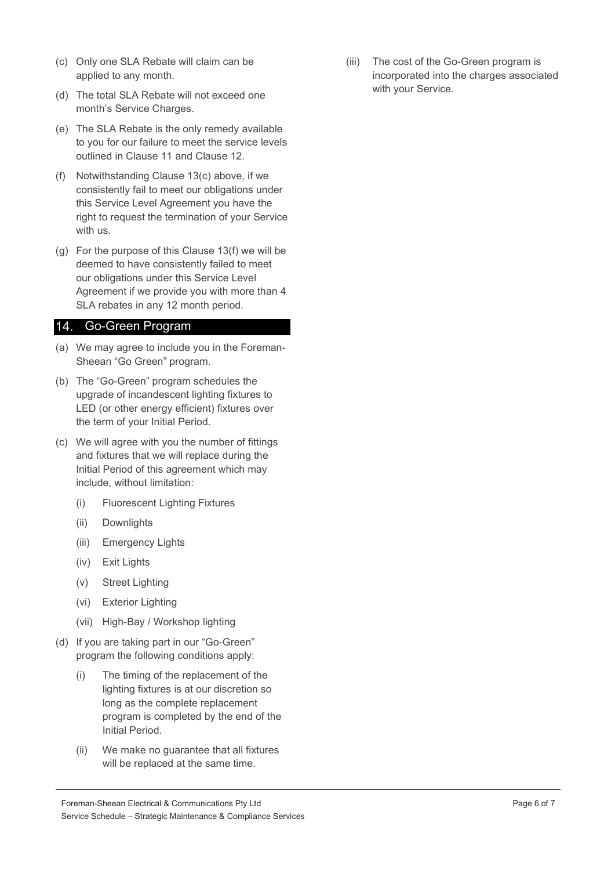- (c) Only one SLA Rebate will claim can be applied to any month.
- (d) The total SLA Rebate will not exceed one month's Service Charges.
- (e) The SLA Rebate is the only remedy available to you for our failure to meet the service levels outlined in Clause 11 and Clause 12.
- (f) Notwithstanding Clause 13(c) above, if we consistently fail to meet our obligations under this Service Level Agreement you have the right to request the termination of your Service with us.
- (g) For the purpose of this Clause 13(f) we will be deemed to have consistently failed to meet our obligations under this Service Level Agreement if we provide you with more than 4 SLA rebates in any 12 month period.

#### 14. Go-Green Program

- (a) We may agree to include you in the Foreman-Sheean "Go Green" program.
- (b) The "Go-Green" program schedules the upgrade of incandescent lighting fixtures to LED (or other energy efficient) fixtures over the term of your Initial Period.
- (c) We will agree with you the number of fittings and fixtures that we will replace during the Initial Period of this agreement which may include, without limitation:
	- (i) Fluorescent Lighting Fixtures
	- (ii) Downlights
	- (iii) Emergency Lights
	- (iv) Exit Lights
	- (v) Street Lighting
	- (vi) Exterior Lighting
	- (vii) High-Bay / Workshop lighting
- (d) If you are taking part in our "Go-Green" program the following conditions apply:
	- (i) The timing of the replacement of the lighting fixtures is at our discretion so long as the complete replacement program is completed by the end of the Initial Period.
	- (ii) We make no guarantee that all fixtures will be replaced at the same time.

(iii) The cost of the Go-Green program is incorporated into the charges associated with your Service.